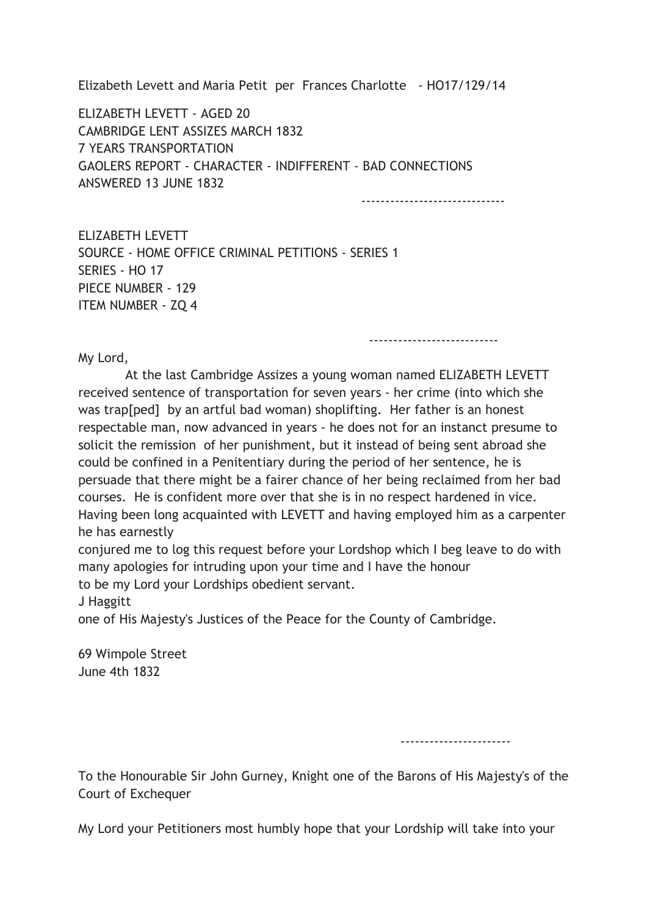Elizabeth Levett and Maria Petit per Frances Charlotte - HO17/129/14

ELIZABETH LEVETT - AGED 20 CAMBRIDGE LENT ASSIZES MARCH 1832 7 YEARS TRANSPORTATION GAOLERS REPORT - CHARACTER - INDIFFERENT - BAD CONNECTIONS ANSWERED 13 JUNE 1832

------------------------------

---------------------------

ELIZABETH LEVETT SOURCE - HOME OFFICE CRIMINAL PETITIONS - SERIES 1 SERIES - HO 17 PIECE NUMBER - 129 ITEM NUMBER - ZQ 4

My Lord,

 At the last Cambridge Assizes a young woman named ELIZABETH LEVETT received sentence of transportation for seven years - her crime (into which she was trap[ped] by an artful bad woman) shoplifting. Her father is an honest respectable man, now advanced in years - he does not for an instanct presume to solicit the remission of her punishment, but it instead of being sent abroad she could be confined in a Penitentiary during the period of her sentence, he is persuade that there might be a fairer chance of her being reclaimed from her bad courses. He is confident more over that she is in no respect hardened in vice. Having been long acquainted with LEVETT and having employed him as a carpenter he has earnestly

conjured me to log this request before your Lordshop which I beg leave to do with many apologies for intruding upon your time and I have the honour to be my Lord your Lordships obedient servant.

J Haggitt

one of His Majesty's Justices of the Peace for the County of Cambridge.

69 Wimpole Street June 4th 1832

-----------------------

To the Honourable Sir John Gurney, Knight one of the Barons of His Majesty's of the Court of Exchequer

My Lord your Petitioners most humbly hope that your Lordship will take into your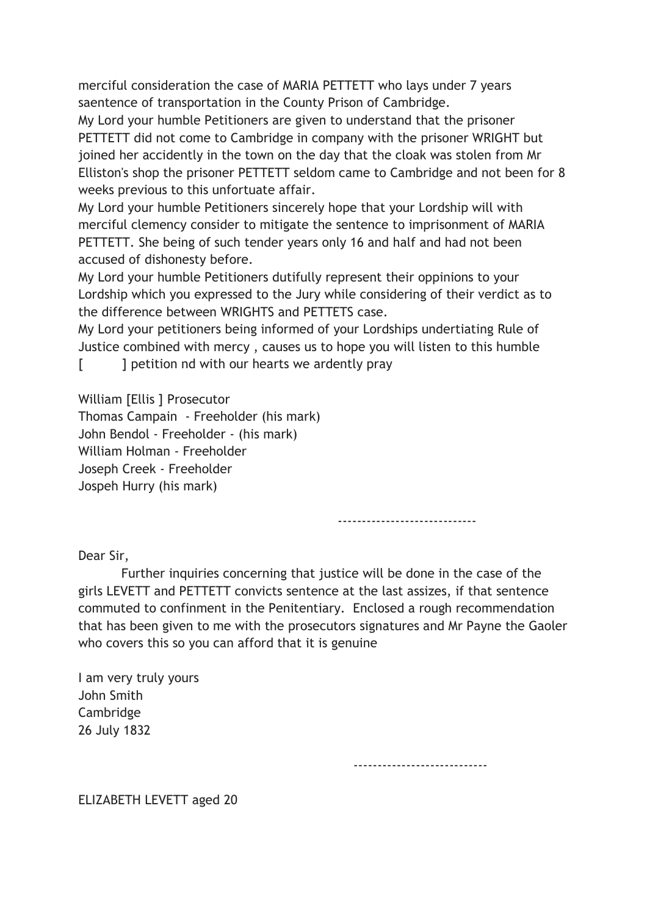merciful consideration the case of MARIA PETTETT who lays under 7 years saentence of transportation in the County Prison of Cambridge.

My Lord your humble Petitioners are given to understand that the prisoner PETTETT did not come to Cambridge in company with the prisoner WRIGHT but joined her accidently in the town on the day that the cloak was stolen from Mr Elliston's shop the prisoner PETTETT seldom came to Cambridge and not been for 8 weeks previous to this unfortuate affair.

My Lord your humble Petitioners sincerely hope that your Lordship will with merciful clemency consider to mitigate the sentence to imprisonment of MARIA PETTETT. She being of such tender years only 16 and half and had not been accused of dishonesty before.

My Lord your humble Petitioners dutifully represent their oppinions to your Lordship which you expressed to the Jury while considering of their verdict as to the difference between WRIGHTS and PETTETS case.

My Lord your petitioners being informed of your Lordships undertiating Rule of Justice combined with mercy , causes us to hope you will listen to this humble

[ ] petition nd with our hearts we ardently pray

William [Ellis ] Prosecutor

Thomas Campain - Freeholder (his mark) John Bendol - Freeholder - (his mark) William Holman - Freeholder Joseph Creek - Freeholder Jospeh Hurry (his mark)

-----------------------------

Dear Sir,

 Further inquiries concerning that justice will be done in the case of the girls LEVETT and PETTETT convicts sentence at the last assizes, if that sentence commuted to confinment in the Penitentiary. Enclosed a rough recommendation that has been given to me with the prosecutors signatures and Mr Payne the Gaoler who covers this so you can afford that it is genuine

I am very truly yours John Smith Cambridge 26 July 1832

----------------------------

ELIZABETH LEVETT aged 20